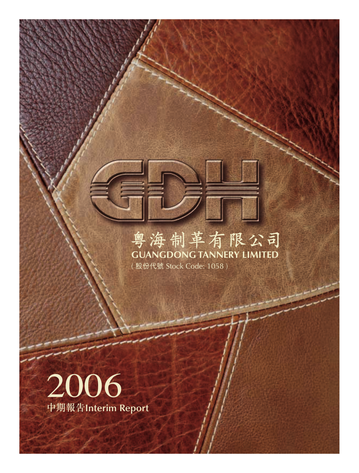



# 粤海制革有限公司

(股份代號 Stock Code: 1058)

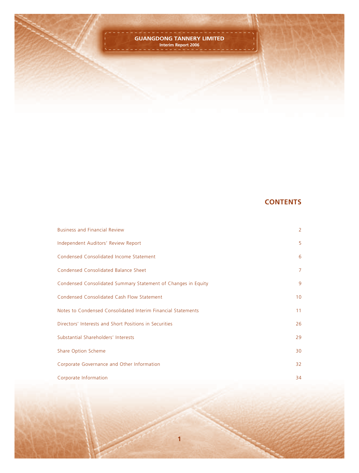

# **CONTENTS**

| <b>Business and Financial Review</b>                          | $\overline{2}$ |
|---------------------------------------------------------------|----------------|
| Independent Auditors' Review Report                           | 5              |
| Condensed Consolidated Income Statement                       | 6              |
| <b>Condensed Consolidated Balance Sheet</b>                   | $\overline{7}$ |
| Condensed Consolidated Summary Statement of Changes in Equity | 9              |
| Condensed Consolidated Cash Flow Statement                    | 10             |
| Notes to Condensed Consolidated Interim Financial Statements  | 11             |
| Directors' Interests and Short Positions in Securities        | 26             |
| Substantial Shareholders' Interests                           | 29             |
| Share Option Scheme                                           | 30             |
| Corporate Governance and Other Information                    | 32             |
| Corporate Information                                         | 34             |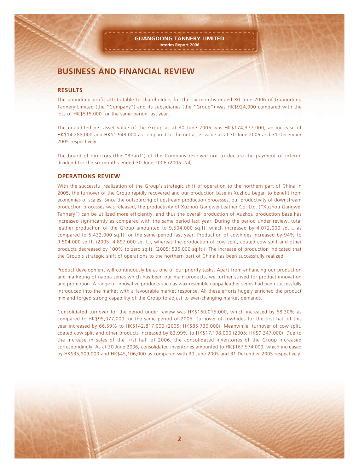# **BUSINESS AND FINANCIAL REVIEW**

#### **RESULTS**

The unaudited profit attributable to shareholders for the six months ended 30 June 2006 of Guangdong Tannery Limited (the "Company") and its subsidiaries (the "Group") was HK\$924,000 compared with the loss of HK\$515,000 for the same period last year.

The unaudited net asset value of the Group as at 30 June 2006 was HK\$174,377,000, an increase of HK\$14,288,000 and HK\$1,943,000 as compared to the net asset value as at 30 June 2005 and 31 December 2005 respectively.

The board of directors (the "Board") of the Company resolved not to declare the payment of interim dividend for the six months ended 30 June 2006 (2005: Nil).

#### **OPERATIONS REVIEW**

With the successful realization of the Group's strategic shift of operation to the northern part of China in 2005, the turnover of the Group rapidly recovered and our production base in Xuzhou began to benefit from economies of scales. Since the outsourcing of upstream production processes, our productivity of downstream production processes was released, the productivity of Xuzhou Gangwei Leather Co. Ltd. ("Xuzhou Gangwei Tannery") can be utilized more efficiently, and thus the overall production of Xuzhou production base has increased significantly as compared with the same period last year. During the period under review, total leather production of the Group amounted to 9,504,000 sq.ft. which increased by 4,072,000 sq.ft. as compared to 5,432,000 sq.ft for the same period last year. Production of cowhides increased by 94% to 9,504,000 sq.ft. (2005: 4,897,000 sq.ft.), whereas the production of cow split, coated cow split and other products decreased by 100% to zero sq.ft. (2005: 535,000 sq.ft.). The increase of production indicated that the Group's strategic shift of operations to the northern part of China has been successfully realized.

Product development will continuously be as one of our priority tasks. Apart from enhancing our production and marketing of nappa series which has been our main products, we further strived for product innovation and promotion. A range of innovative products such as wax-resemble nappa leather series had been successfully introduced into the market with a favourable market response. All these efforts hugely enriched the product mix and forged strong capability of the Group to adjust to ever-changing market demands.

Consolidated turnover for the period under review was HK\$160,015,000, which increased by 68.30% as compared to HK\$95,077,000 for the same period of 2005. Turnover of cowhides for the first half of this year increased by 66.59% to HK\$142,817,000 (2005: HK\$85,730,000). Meanwhile, turnover of cow split, coated cow split and other products increased by 83.99% to HK\$17,198,000 (2005: HK\$9,347,000). Due to the increase in sales of the first half of 2006, the consolidated inventories of the Group increased correspondingly. As at 30 June 2006, consolidated inventories amounted to HK\$167,574,000, which increased by HK\$35,909,000 and HK\$45,106,000 as compared with 30 June 2005 and 31 December 2005 respectively.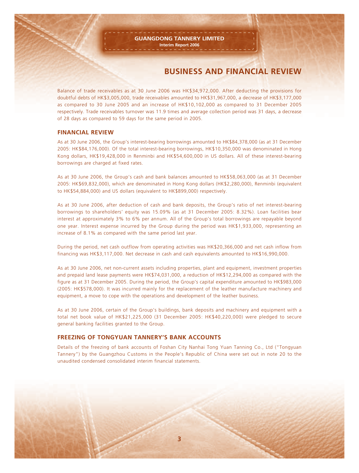# **BUSINESS AND FINANCIAL REVIEW**

Balance of trade receivables as at 30 June 2006 was HK\$34,972,000. After deducting the provisions for doubtful debts of HK\$3,005,000, trade receivables amounted to HK\$31,967,000, a decrease of HK\$3,177,000 as compared to 30 June 2005 and an increase of HK\$10,102,000 as compared to 31 December 2005 respectively. Trade receivables turnover was 11.9 times and average collection period was 31 days, a decrease of 28 days as compared to 59 days for the same period in 2005.

#### **FINANCIAL REVIEW**

As at 30 June 2006, the Group's interest-bearing borrowings amounted to HK\$84,378,000 (as at 31 December 2005: HK\$84,176,000). Of the total interest-bearing borrowings, HK\$10,350,000 was denominated in Hong Kong dollars, HK\$19,428,000 in Renminbi and HK\$54,600,000 in US dollars. All of these interest-bearing borrowings are charged at fixed rates.

As at 30 June 2006, the Group's cash and bank balances amounted to HK\$58,063,000 (as at 31 December 2005: HK\$69,832,000), which are denominated in Hong Kong dollars (HK\$2,280,000), Renminbi (equivalent to HK\$54,884,000) and US dollars (equivalent to HK\$899,000) respectively.

As at 30 June 2006, after deduction of cash and bank deposits, the Group's ratio of net interest-bearing borrowings to shareholders' equity was 15.09% (as at 31 December 2005: 8.32%). Loan facilities bear interest at approximately 3% to 6% per annum. All of the Group's total borrowings are repayable beyond one year. Interest expense incurred by the Group during the period was HK\$1,933,000, representing an increase of 8.1% as compared with the same period last year.

During the period, net cash outflow from operating activities was HK\$20,366,000 and net cash inflow from financing was HK\$3,117,000. Net decrease in cash and cash equivalents amounted to HK\$16,990,000.

As at 30 June 2006, net non-current assets including properties, plant and equipment, investment properties and prepaid land lease payments were HK\$74,031,000, a reduction of HK\$12,294,000 as compared with the figure as at 31 December 2005. During the period, the Group's capital expenditure amounted to HK\$983,000 (2005: HK\$578,000). It was incurred mainly for the replacement of the leather manufacture machinery and equipment, a move to cope with the operations and development of the leather business.

As at 30 June 2006, certain of the Group's buildings, bank deposits and machinery and equipment with a total net book value of HK\$21,225,000 (31 December 2005: HK\$40,220,000) were pledged to secure general banking facilities granted to the Group.

#### **FREEZING OF TONGYUAN TANNERY'S BANK ACCOUNTS**

Details of the freezing of bank accounts of Foshan City Nanhai Tong Yuan Tanning Co., Ltd ("Tongyuan Tannery") by the Guangzhou Customs in the People's Republic of China were set out in note 20 to the unaudited condensed consolidated interim financial statements.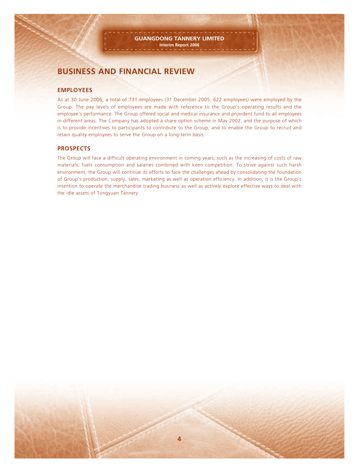# **BUSINESS AND FINANCIAL REVIEW**

#### **EMPLOYEES**

As at 30 June 2006, a total of 731 employees (31 December 2005: 622 employees) were employed by the Group. The pay levels of employees are made with reference to the Group's operating results and the employee's performance. The Group offered social and medical insurance and provident fund to all employees in different areas. The Company has adopted a share option scheme in May 2002, and the purpose of which is to provide incentives to participants to contribute to the Group, and to enable the Group to recruit and retain quality employees to serve the Group on a long-term basis.

#### **PROSPECTS**

The Group will face a difficult operating environment in coming years; such as the increasing of costs of raw materials, fuels consumption and salaries combined with keen competition. To strive against such harsh environment, the Group will continue its efforts to face the challenges ahead by consolidating the foundation of Group's production, supply, sales, marketing as well as operation efficiency. In addition, it is the Group's intention to operate the merchandise trading business as well as actively explore effective ways to deal with the idle assets of Tongyuan Tannery.

**4**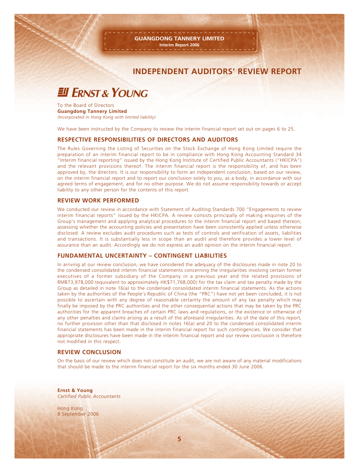### **INDEPENDENT AUDITORS' REVIEW REPORT**

# **EU ERNST & YOUNG**

To the Board of Directors **Guangdong Tannery Limited** *(Incorporated in Hong Kong with limited liability)*

We have been instructed by the Company to review the interim financial report set out on pages 6 to 25.

#### **RESPECTIVE RESPONSIBILITIES OF DIRECTORS AND AUDITORS**

The Rules Governing the Listing of Securities on the Stock Exchange of Hong Kong Limited require the preparation of an interim financial report to be in compliance with Hong Kong Accounting Standard 34 "Interim financial reporting" issued by the Hong Kong Institute of Certified Public Accountants ("HKICPA") and the relevant provisions thereof. The interim financial report is the responsibility of, and has been approved by, the directors. It is our responsibility to form an independent conclusion, based on our review, on the interim financial report and to report our conclusion solely to you, as a body, in accordance with our agreed terms of engagement, and for no other purpose. We do not assume responsibility towards or accept liability to any other person for the contents of this report.

#### **REVIEW WORK PERFORMED**

We conducted our review in accordance with Statement of Auditing Standards 700 "Engagements to review interim financial reports" issued by the HKICPA. A review consists principally of making enquiries of the Group's management and applying analytical procedures to the interim financial report and based thereon, assessing whether the accounting policies and presentation have been consistently applied unless otherwise disclosed. A review excludes audit procedures such as tests of controls and verification of assets, liabilities and transactions. It is substantially less in scope than an audit and therefore provides a lower level of assurance than an audit. Accordingly we do not express an audit opinion on the interim financial report.

#### **FUNDAMENTAL UNCERTAINTY – CONTINGENT LIABILITIES**

In arriving at our review conclusion, we have considered the adequacy of the disclosures made in note 20 to the condensed consolidated interim financial statements concerning the irregularities involving certain former executives of a former subsidiary of the Company in a previous year and the related provisions of RMB73,978,000 (equivalent to approximately HK\$71,768,000) for the tax claim and tax penalty made by the Group as detailed in note 16(a) to the condensed consolidated interim financial statements. As the actions taken by the authorities of the People's Republic of China (the "PRC") have not yet been concluded, it is not possible to ascertain with any degree of reasonable certainty the amount of any tax penalty which may finally be imposed by the PRC authorities and the other consequential actions that may be taken by the PRC authorities for the apparent breaches of certain PRC laws and regulations, or the existence or otherwise of any other penalties and claims arising as a result of the aforesaid irregularities. As of the date of this report, no further provision other than that disclosed in notes 16(a) and 20 to the condensed consolidated interim financial statements has been made in the interim financial report for such contingencies. We consider that appropriate disclosures have been made in the interim financial report and our review conclusion is therefore not modified in this respect.

#### **REVIEW CONCLUSION**

On the basis of our review which does not constitute an audit, we are not aware of any material modifications that should be made to the interim financial report for the six months ended 30 June 2006.

**Ernst & Young** *Certified Public Accountants*

Hong Kong 8 September 2006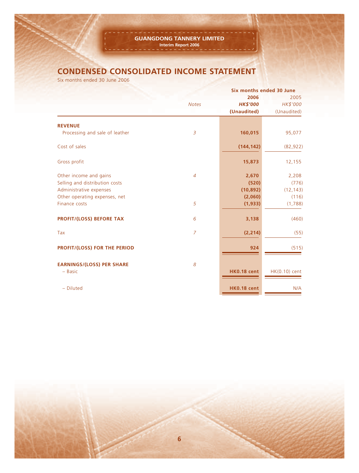# **CONDENSED CONSOLIDATED INCOME STATEMENT**

Six months ended 30 June 2006

|                                     |                | Six months ended 30 June |                  |
|-------------------------------------|----------------|--------------------------|------------------|
|                                     | <b>Notes</b>   | 2006<br><b>HK\$'000</b>  | 2005<br>HK\$'000 |
|                                     |                | (Unaudited)              | (Unaudited)      |
| <b>REVENUE</b>                      |                |                          |                  |
| Processing and sale of leather      | $\overline{3}$ | 160,015                  | 95,077           |
| Cost of sales                       |                | (144, 142)               | (82, 922)        |
| Gross profit                        |                | 15,873                   | 12,155           |
| Other income and gains              | $\overline{4}$ | 2,670                    | 2,208            |
| Selling and distribution costs      |                | (520)                    | (776)            |
| Administrative expenses             |                | (10, 892)                | (12, 143)        |
| Other operating expenses, net       |                | (2,060)                  | (116)            |
| Finance costs                       | 5              | (1, 933)                 | (1,788)          |
| <b>PROFIT/(LOSS) BEFORE TAX</b>     | 6              | 3,138                    | (460)            |
| Tax                                 | $\overline{z}$ | (2, 214)                 | (55)             |
| <b>PROFIT/(LOSS) FOR THE PERIOD</b> |                | 924                      | (515)            |
| <b>EARNINGS/(LOSS) PER SHARE</b>    | 8              |                          |                  |
| $-$ Basic                           |                | <b>HK0.18 cent</b>       | HK(0.10) cent    |
| - Diluted                           |                | <b>HK0.18 cent</b>       | N/A              |
|                                     |                |                          |                  |

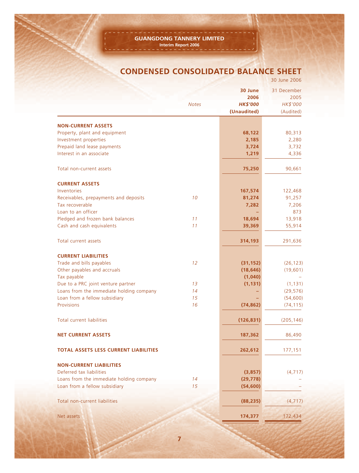# **CONDENSED CONSOLIDATED BALANCE SHEET**

|                                                            |              |                                                   | 30 June 2006                                 |
|------------------------------------------------------------|--------------|---------------------------------------------------|----------------------------------------------|
|                                                            | <b>Notes</b> | 30 June<br>2006<br><b>HK\$'000</b><br>(Unaudited) | 31 December<br>2005<br>HK\$'000<br>(Audited) |
|                                                            |              |                                                   |                                              |
| <b>NON-CURRENT ASSETS</b><br>Property, plant and equipment |              | 68,122                                            | 80,313                                       |
| Investment properties                                      |              | 2,185                                             | 2,280                                        |
| Prepaid land lease payments                                |              | 3,724                                             | 3,732                                        |
| Interest in an associate                                   |              | 1,219                                             | 4,336                                        |
| Total non-current assets                                   |              | 75,250                                            | 90,661                                       |
| <b>CURRENT ASSETS</b>                                      |              |                                                   |                                              |
| Inventories                                                |              | 167,574                                           | 122,468                                      |
| Receivables, prepayments and deposits                      | 10           | 81,274                                            | 91,257                                       |
| Tax recoverable                                            |              | 7,282                                             | 7,206                                        |
| Loan to an officer                                         |              |                                                   | 873                                          |
| Pledged and frozen bank balances                           | 11           | 18,694                                            | 13,918                                       |
| Cash and cash equivalents                                  | 11           | 39,369                                            | 55,914                                       |
| Total current assets                                       |              | 314,193                                           | 291,636                                      |
| <b>CURRENT LIABILITIES</b>                                 |              |                                                   |                                              |
| Trade and bills payables                                   | 12           | (31, 152)                                         | (26, 123)                                    |
| Other payables and accruals                                |              | (18, 646)                                         | (19,601)                                     |
| Tax payable                                                |              | (1,040)                                           |                                              |
| Due to a PRC joint venture partner                         | 13           | (1, 131)                                          | (1, 131)                                     |
| Loans from the immediate holding company                   | 14           |                                                   | (29, 576)                                    |
| Loan from a fellow subsidiary                              | 15           |                                                   | (54, 600)                                    |
| Provisions                                                 | 16           | (74, 862)                                         | (74, 115)                                    |
| <b>Total current liabilities</b>                           |              | (126, 831)                                        | (205, 146)                                   |
| <b>NET CURRENT ASSETS</b>                                  |              | 187,362                                           | 86,490                                       |
| <b>TOTAL ASSETS LESS CURRENT LIABILITIES</b>               |              | 262,612                                           | 177,151                                      |
| <b>NON-CURRENT LIABILITIES</b>                             |              |                                                   |                                              |
| Deferred tax liabilities                                   |              | (3,857)                                           | (4, 717)                                     |
| Loans from the immediate holding company                   | 14           | (29, 778)                                         |                                              |
| Loan from a fellow subsidiary                              | 15           | (54, 600)                                         |                                              |
| Total non-current liabilities                              |              | (88, 235)                                         | (4, 717)                                     |
|                                                            |              |                                                   |                                              |
| Net assets                                                 |              | 174,377                                           | 172,434                                      |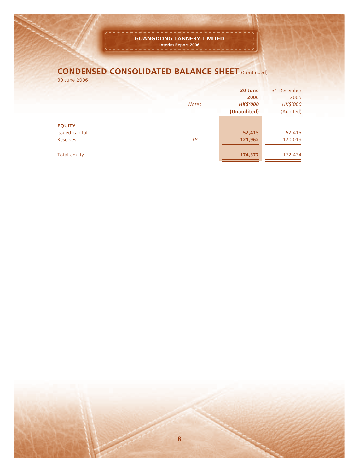# **CONDENSED CONSOLIDATED BALANCE SHEET** (Continued)

30 June 2006

|                                             | <b>Notes</b> | 30 June<br>2006<br><b>HK\$'000</b> | 31 December<br>2005<br>HK\$'000 |
|---------------------------------------------|--------------|------------------------------------|---------------------------------|
|                                             |              | (Unaudited)                        | (Audited)                       |
| <b>EQUITY</b><br>Issued capital<br>Reserves | 18           | 52,415<br>121,962                  | 52,415<br>120,019               |
| Total equity                                |              | 174,377                            | 172,434                         |

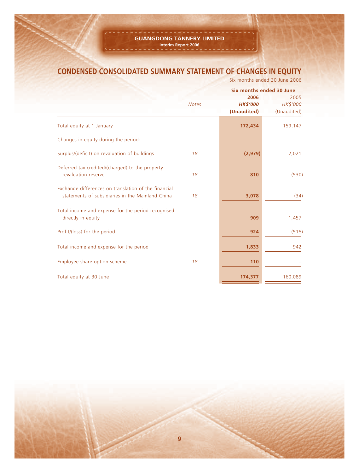# **CONDENSED CONSOLIDATED SUMMARY STATEMENT OF CHANGES IN EQUITY**

Six months ended 30 June 2006

|                                                                                                          |              |                                        | Six months ended 30 June        |  |
|----------------------------------------------------------------------------------------------------------|--------------|----------------------------------------|---------------------------------|--|
|                                                                                                          | <b>Notes</b> | 2006<br><b>HK\$'000</b><br>(Unaudited) | 2005<br>HK\$'000<br>(Unaudited) |  |
| Total equity at 1 January                                                                                |              | 172,434                                | 159,147                         |  |
| Changes in equity during the period:                                                                     |              |                                        |                                 |  |
| Surplus/(deficit) on revaluation of buildings                                                            | 18           | (2,979)                                | 2,021                           |  |
| Deferred tax credited/(charged) to the property<br>revaluation reserve                                   | 18           | 810                                    | (530)                           |  |
| Exchange differences on translation of the financial<br>statements of subsidiaries in the Mainland China | 18           | 3,078                                  | (34)                            |  |
| Total income and expense for the period recognised<br>directly in equity                                 |              | 909                                    | 1,457                           |  |
| Profit/(loss) for the period                                                                             |              | 924                                    | (515)                           |  |
| Total income and expense for the period                                                                  |              | 1,833                                  | 942                             |  |
| Employee share option scheme                                                                             | 18           | 110                                    |                                 |  |
| Total equity at 30 June                                                                                  |              | 174,377                                | 160,089                         |  |

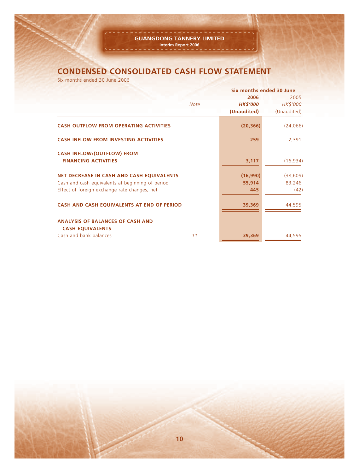# **CONDENSED CONSOLIDATED CASH FLOW STATEMENT**

Six months ended 30 June 2006

|                                                                    |             |                 | Six months ended 30 June |
|--------------------------------------------------------------------|-------------|-----------------|--------------------------|
|                                                                    |             | 2006            | 2005                     |
|                                                                    | <b>Note</b> | <b>HK\$'000</b> | HK\$'000                 |
|                                                                    |             | (Unaudited)     | (Unaudited)              |
| <b>CASH OUTFLOW FROM OPERATING ACTIVITIES</b>                      |             | (20, 366)       | (24,066)                 |
| <b>CASH INFLOW FROM INVESTING ACTIVITIES</b>                       |             | 259             | 2,391                    |
| <b>CASH INFLOW/(OUTFLOW) FROM</b><br><b>FINANCING ACTIVITIES</b>   |             | 3,117           | (16, 934)                |
| <b>NET DECREASE IN CASH AND CASH EQUIVALENTS</b>                   |             | (16,990)        | (38, 609)                |
| Cash and cash equivalents at beginning of period                   |             | 55,914          | 83,246                   |
| Effect of foreign exchange rate changes, net                       |             | 445             | (42)                     |
| CASH AND CASH EQUIVALENTS AT END OF PERIOD                         |             | 39,369          | 44,595                   |
| <b>ANALYSIS OF BALANCES OF CASH AND</b><br><b>CASH EQUIVALENTS</b> |             |                 |                          |
| Cash and bank balances                                             | 11          | 39,369          | 44,595                   |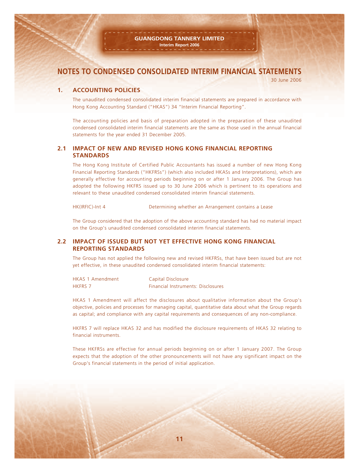30 June 2006

#### **1. ACCOUNTING POLICIES**

The unaudited condensed consolidated interim financial statements are prepared in accordance with Hong Kong Accounting Standard ("HKAS") 34 "Interim Financial Reporting".

The accounting policies and basis of preparation adopted in the preparation of these unaudited condensed consolidated interim financial statements are the same as those used in the annual financial statements for the year ended 31 December 2005.

#### **2.1 IMPACT OF NEW AND REVISED HONG KONG FINANCIAL REPORTING STANDARDS**

The Hong Kong Institute of Certified Public Accountants has issued a number of new Hong Kong Financial Reporting Standards ("HKFRSs") (which also included HKASs and Interpretations), which are generally effective for accounting periods beginning on or after 1 January 2006. The Group has adopted the following HKFRS issued up to 30 June 2006 which is pertinent to its operations and relevant to these unaudited condensed consolidated interim financial statements.

HK(IRFIC)-Int 4 Determining whether an Arrangement contains a Lease

The Group considered that the adoption of the above accounting standard has had no material impact on the Group's unaudited condensed consolidated interim financial statements.

#### **2.2 IMPACT OF ISSUED BUT NOT YET EFFECTIVE HONG KONG FINANCIAL REPORTING STANDARDS**

The Group has not applied the following new and revised HKFRSs, that have been issued but are not yet effective, in these unaudited condensed consolidated interim financial statements:

| <b>HKAS 1 Amendment</b> | Capital Disclosure                        |
|-------------------------|-------------------------------------------|
| <b>HKFRS 7</b>          | <b>Financial Instruments: Disclosures</b> |

HKAS 1 Amendment will affect the disclosures about qualitative information about the Group's objective, policies and processes for managing capital, quantitative data about what the Group regards as capital; and compliance with any capital requirements and consequences of any non-compliance.

HKFRS 7 will replace HKAS 32 and has modified the disclosure requirements of HKAS 32 relating to financial instruments.

These HKFRSs are effective for annual periods beginning on or after 1 January 2007. The Group expects that the adoption of the other pronouncements will not have any significant impact on the Group's financial statements in the period of initial application.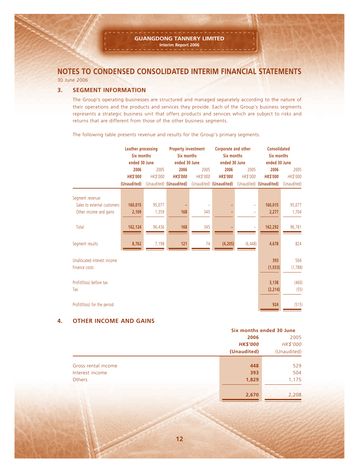30 June 2006

#### **3. SEGMENT INFORMATION**

The Group's operating businesses are structured and managed separately according to the nature of their operations and the products and services they provide. Each of the Group's business segments represents a strategic business unit that offers products and services which are subject to risks and returns that are different from those of the other business segments.

|                              | Leather processing<br>Six months |          | <b>Property investment</b><br>Six months |          | Corporate and other<br>Six months |          | <b>Consolidated</b><br>Six months |             |
|------------------------------|----------------------------------|----------|------------------------------------------|----------|-----------------------------------|----------|-----------------------------------|-------------|
|                              | ended 30 June                    |          | ended 30 June                            |          | ended 30 June                     |          | ended 30 June                     |             |
|                              | 2006                             | 2005     | 2006                                     | 2005     | 2006                              | 2005     | 2006                              | 2005        |
|                              | <b>HK\$'000</b>                  | HK\$'000 | <b>HK\$'000</b>                          | HK\$'000 | <b>HK\$'000</b>                   | HK\$'000 | <b>HK\$'000</b>                   | HK\$'000    |
|                              | (Unaudited)                      |          | (Unaudited) (Unaudited)                  |          | (Unaudited) (Unaudited)           |          | (Unaudited) (Unaudited)           | (Unaudited) |
| Segment revenue:             |                                  |          |                                          |          |                                   |          |                                   |             |
| Sales to external customers  | 160,015                          | 95,077   |                                          |          |                                   |          | 160,015                           | 95,077      |
| Other income and gains       | 2,109                            | 1,359    | 168                                      | 345      |                                   | ÷        | 2,277                             | 1,704       |
|                              |                                  |          |                                          |          |                                   |          |                                   |             |
| Total                        | 162,124                          | 96,436   | 168                                      | 345      |                                   |          | 162,292                           | 96,781      |
|                              |                                  |          |                                          |          |                                   |          |                                   |             |
| Segment results              | 8,762                            | 7,198    | 121                                      | 74       | (4, 205)                          | (6, 448) | 4,678                             | 824         |
| Unallocated interest income  |                                  |          |                                          |          |                                   |          | 393                               | 504         |
| Finance costs                |                                  |          |                                          |          |                                   |          | (1, 933)                          | (1,788)     |
|                              |                                  |          |                                          |          |                                   |          |                                   |             |
| Profit/(loss) before tax     |                                  |          |                                          |          |                                   |          | 3,138                             | (460)       |
| Tax                          |                                  |          |                                          |          |                                   |          | (2, 214)                          | (55)        |
|                              |                                  |          |                                          |          |                                   |          |                                   |             |
| Profit/(loss) for the period |                                  |          |                                          |          |                                   |          | 924                               | (515)       |
|                              |                                  |          |                                          |          |                                   |          |                                   |             |

The following table presents revenue and results for the Group's primary segments.

#### **4. OTHER INCOME AND GAINS**

|                     |                 | Six months ended 30 June |  |  |
|---------------------|-----------------|--------------------------|--|--|
|                     | 2006            | 2005                     |  |  |
|                     | <b>HK\$'000</b> | HK\$'000                 |  |  |
|                     | (Unaudited)     | (Unaudited)              |  |  |
| Gross rental income | 448             | 529                      |  |  |
| Interest income     | 393             | 504                      |  |  |
| <b>Others</b>       | 1,829           | 1,175                    |  |  |
|                     | 2,670           | 2,208                    |  |  |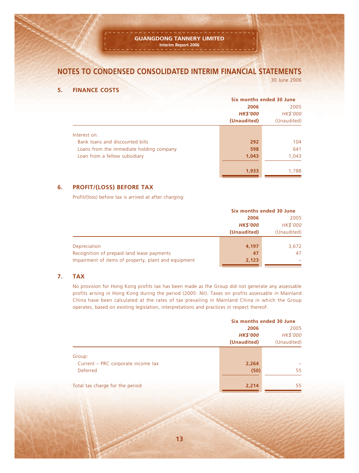#### **GUANGDONG TANNERY LIMITED Interim Report 2006**

# **NOTES TO CONDENSED CONSOLIDATED INTERIM FINANCIAL STATEMENTS**

30 June 2006

#### **5. FINANCE COSTS**

|                                          | Six months ended 30 June |             |  |
|------------------------------------------|--------------------------|-------------|--|
|                                          | 2006                     | 2005        |  |
|                                          | <b>HK\$'000</b>          | HK\$'000    |  |
|                                          | (Unaudited)              | (Unaudited) |  |
|                                          |                          |             |  |
| Interest on:                             |                          |             |  |
| Bank loans and discounted bills          | 292                      | 104         |  |
| Loans from the immediate holding company | 598                      | 641         |  |
| Loan from a fellow subsidiary            | 1,043                    | 1,043       |  |
|                                          | 1,933                    | 1,788       |  |

#### **6. PROFIT/(LOSS) BEFORE TAX**

Profit/(loss) before tax is arrived at after charging:

|                                                      |                 | Six months ended 30 June |  |  |
|------------------------------------------------------|-----------------|--------------------------|--|--|
|                                                      | 2006            |                          |  |  |
|                                                      | <b>HK\$'000</b> | HK\$'000                 |  |  |
|                                                      | (Unaudited)     | (Unaudited)              |  |  |
|                                                      |                 |                          |  |  |
| Depreciation                                         | 4,197           | 3,672                    |  |  |
| Recognition of prepaid land lease payments           | 47              | 47                       |  |  |
| Impairment of items of property, plant and equipment | 2,123           |                          |  |  |
|                                                      |                 |                          |  |  |

#### **7. TAX**

No provision for Hong Kong profits tax has been made as the Group did not generate any assessable profits arising in Hong Kong during the period (2005: Nil). Taxes on profits assessable in Mainland China have been calculated at the rates of tax prevailing in Mainland China in which the Group operates, based on existing legislation, interpretations and practices in respect thereof.

|                                    | Six months ended 30 June |             |  |
|------------------------------------|--------------------------|-------------|--|
|                                    | 2006                     |             |  |
|                                    | <b>HK\$'000</b>          | HK\$'000    |  |
|                                    | (Unaudited)              | (Unaudited) |  |
| Group:                             |                          |             |  |
| Current – PRC corporate income tax | 2,264                    |             |  |
| <b>Deferred</b>                    | (50)                     | 55          |  |
| Total tax charge for the period    | 2,214                    | 55          |  |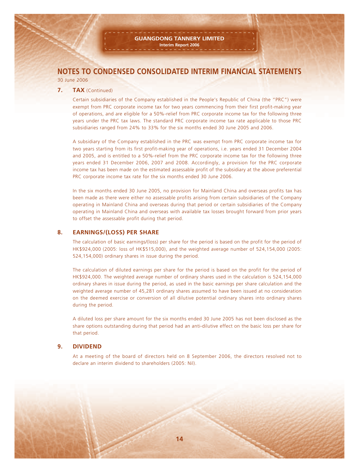#### **7. TAX** (Continued)

Certain subsidiaries of the Company established in the People's Republic of China (the "PRC") were exempt from PRC corporate income tax for two years commencing from their first profit-making year of operations, and are eligible for a 50%-relief from PRC corporate income tax for the following three years under the PRC tax laws. The standard PRC corporate income tax rate applicable to those PRC subsidiaries ranged from 24% to 33% for the six months ended 30 June 2005 and 2006.

A subsidiary of the Company established in the PRC was exempt from PRC corporate income tax for two years starting from its first profit-making year of operations, i.e. years ended 31 December 2004 and 2005, and is entitled to a 50%-relief from the PRC corporate income tax for the following three years ended 31 December 2006, 2007 and 2008. Accordingly, a provision for the PRC corporate income tax has been made on the estimated assessable profit of the subsidiary at the above preferential PRC corporate income tax rate for the six months ended 30 June 2006.

In the six months ended 30 June 2005, no provision for Mainland China and overseas profits tax has been made as there were either no assessable profits arising from certain subsidiaries of the Company operating in Mainland China and overseas during that period or certain subsidiaries of the Company operating in Mainland China and overseas with available tax losses brought forward from prior years to offset the assessable profit during that period.

#### **8. EARNINGS/(LOSS) PER SHARE**

The calculation of basic earnings/(loss) per share for the period is based on the profit for the period of HK\$924,000 (2005: loss of HK\$515,000), and the weighted average number of 524,154,000 (2005: 524,154,000) ordinary shares in issue during the period.

The calculation of diluted earnings per share for the period is based on the profit for the period of HK\$924,000. The weighted average number of ordinary shares used in the calculation is 524,154,000 ordinary shares in issue during the period, as used in the basic earnings per share calculation and the weighted average number of 45,281 ordinary shares assumed to have been issued at no consideration on the deemed exercise or conversion of all dilutive potential ordinary shares into ordinary shares during the period.

A diluted loss per share amount for the six months ended 30 June 2005 has not been disclosed as the share options outstanding during that period had an anti-dilutive effect on the basic loss per share for that period.

#### **9. DIVIDEND**

At a meeting of the board of directors held on 8 September 2006, the directors resolved not to declare an interim dividend to shareholders (2005: Nil).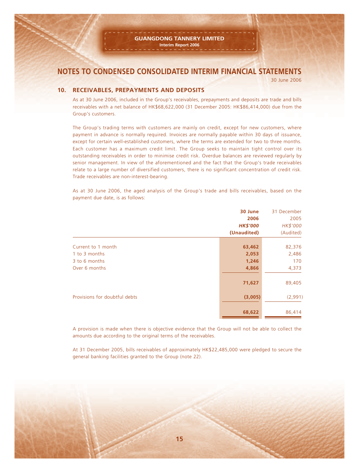30 June 2006

#### **10. RECEIVABLES, PREPAYMENTS AND DEPOSITS**

As at 30 June 2006, included in the Group's receivables, prepayments and deposits are trade and bills receivables with a net balance of HK\$68,622,000 (31 December 2005: HK\$86,414,000) due from the Group's customers.

The Group's trading terms with customers are mainly on credit, except for new customers, where payment in advance is normally required. Invoices are normally payable within 30 days of issuance, except for certain well-established customers, where the terms are extended for two to three months. Each customer has a maximum credit limit. The Group seeks to maintain tight control over its outstanding receivables in order to minimise credit risk. Overdue balances are reviewed regularly by senior management. In view of the aforementioned and the fact that the Group's trade receivables relate to a large number of diversified customers, there is no significant concentration of credit risk. Trade receivables are non-interest-bearing.

As at 30 June 2006, the aged analysis of the Group's trade and bills receivables, based on the payment due date, is as follows:

|                               | 30 June<br>2006<br><b>HK\$'000</b><br>(Unaudited) | 31 December<br>2005<br>HK\$'000<br>(Audited) |
|-------------------------------|---------------------------------------------------|----------------------------------------------|
| Current to 1 month            | 63,462                                            | 82,376                                       |
| 1 to 3 months                 | 2,053                                             | 2,486                                        |
| 3 to 6 months                 | 1,246                                             | 170                                          |
| Over 6 months                 | 4,866<br>71,627                                   | 4,373<br>89,405                              |
| Provisions for doubtful debts | (3,005)                                           | (2,991)                                      |
|                               | 68,622                                            | 86,414                                       |

A provision is made when there is objective evidence that the Group will not be able to collect the amounts due according to the original terms of the receivables.

At 31 December 2005, bills receivables of approximately HK\$22,485,000 were pledged to secure the general banking facilities granted to the Group (note 22).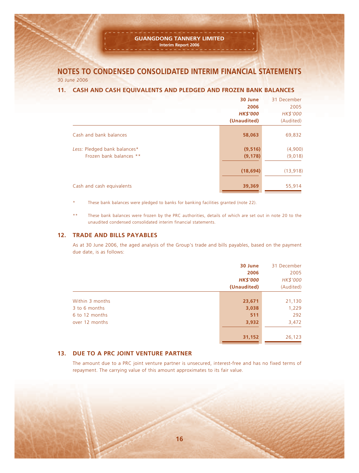#### **GUANGDONG TANNERY LIMITED Interim Report 2006**

**NOTES TO CONDENSED CONSOLIDATED INTERIM FINANCIAL STATEMENTS** 30 June 2006

#### **11. CASH AND CASH EQUIVALENTS AND PLEDGED AND FROZEN BANK BALANCES**

|                                                         | 30 June<br>2006<br><b>HK\$'000</b><br>(Unaudited) | 31 December<br>2005<br>HK\$'000<br>(Audited) |
|---------------------------------------------------------|---------------------------------------------------|----------------------------------------------|
| Cash and bank balances                                  | 58,063                                            | 69,832                                       |
| Less: Pledged bank balances*<br>Frozen bank balances ** | (9, 516)<br>(9, 178)                              | (4,900)<br>(9,018)                           |
|                                                         | (18, 694)                                         | (13, 918)                                    |
| Cash and cash equivalents                               | 39,369                                            | 55,914                                       |

These bank balances were pledged to banks for banking facilities granted (note 22).

\*\* These bank balances were frozen by the PRC authorities, details of which are set out in note 20 to the unaudited condensed consolidated interim financial statements.

#### **12. TRADE AND BILLS PAYABLES**

As at 30 June 2006, the aged analysis of the Group's trade and bills payables, based on the payment due date, is as follows:

|                 | 30 June         | 31 December |
|-----------------|-----------------|-------------|
|                 | 2006            | 2005        |
|                 | <b>HK\$'000</b> | HK\$'000    |
|                 | (Unaudited)     | (Audited)   |
|                 |                 |             |
| Within 3 months | 23,671          | 21,130      |
| 3 to 6 months   | 3,038           | 1,229       |
| 6 to 12 months  | 511             | 292         |
| over 12 months  | 3,932           | 3,472       |
|                 |                 |             |
|                 | 31,152          | 26,123      |

#### **13. DUE TO A PRC JOINT VENTURE PARTNER**

The amount due to a PRC joint venture partner is unsecured, interest-free and has no fixed terms of repayment. The carrying value of this amount approximates to its fair value.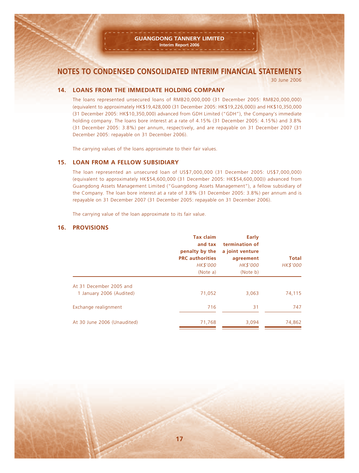30 June 2006

#### **14. LOANS FROM THE IMMEDIATE HOLDING COMPANY**

The loans represented unsecured loans of RMB20,000,000 (31 December 2005: RMB20,000,000) (equivalent to approximately HK\$19,428,000 (31 December 2005: HK\$19,226,000)) and HK\$10,350,000 (31 December 2005: HK\$10,350,000) advanced from GDH Limited ("GDH"), the Company's immediate holding company. The loans bore interest at a rate of 4.15% (31 December 2005: 4.15%) and 3.8% (31 December 2005: 3.8%) per annum, respectively, and are repayable on 31 December 2007 (31 December 2005: repayable on 31 December 2006).

The carrying values of the loans approximate to their fair values.

#### **15. LOAN FROM A FELLOW SUBSIDIARY**

The loan represented an unsecured loan of US\$7,000,000 (31 December 2005: US\$7,000,000) (equivalent to approximately HK\$54,600,000 (31 December 2005: HK\$54,600,000)) advanced from Guangdong Assets Management Limited ("Guangdong Assets Management"), a fellow subsidiary of the Company. The loan bore interest at a rate of 3.8% (31 December 2005: 3.8%) per annum and is repayable on 31 December 2007 (31 December 2005: repayable on 31 December 2006).

The carrying value of the loan approximate to its fair value.

#### **16. PROVISIONS**

|                             | <b>Tax claim</b><br>and tax<br>penalty by the<br><b>PRC</b> authorities<br>HK\$'000<br>(Note a) | Early<br>termination of<br>a joint venture<br>agreement<br>HK\$'000<br>(Note b) | <b>Total</b><br>HK\$'000 |
|-----------------------------|-------------------------------------------------------------------------------------------------|---------------------------------------------------------------------------------|--------------------------|
| At 31 December 2005 and     |                                                                                                 |                                                                                 |                          |
| 1 January 2006 (Audited)    | 71,052                                                                                          | 3,063                                                                           | 74,115                   |
| Exchange realignment        | 716                                                                                             | 31                                                                              | 747                      |
| At 30 June 2006 (Unaudited) | 71,768                                                                                          | 3.094                                                                           | 74,862                   |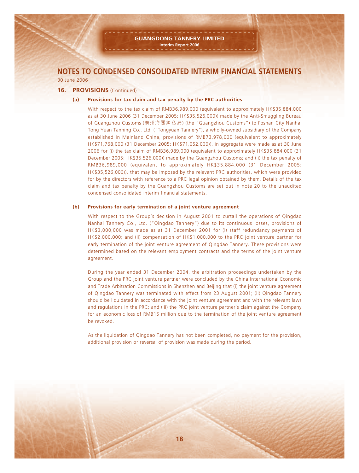#### **16. PROVISIONS** (Continued)

#### **(a) Provisions for tax claim and tax penalty by the PRC authorities**

With respect to the tax claim of RMB36,989,000 (equivalent to approximately HK\$35,884,000 as at 30 June 2006 (31 December 2005: HK\$35,526,000)) made by the Anti-Smuggling Bureau of Guangzhou Customs (廣州海關緝私局) (the "Guangzhou Customs") to Foshan City Nanhai Tong Yuan Tanning Co., Ltd. ("Tongyuan Tannery"), a wholly-owned subsidiary of the Company established in Mainland China, provisions of RMB73,978,000 (equivalent to approximately HK\$71,768,000 (31 December 2005: HK\$71,052,000)), in aggregate were made as at 30 June 2006 for (i) the tax claim of RMB36,989,000 (equivalent to approximately HK\$35,884,000 (31 December 2005: HK\$35,526,000)) made by the Guangzhou Customs; and (ii) the tax penalty of RMB36,989,000 (equivalent to approximately HK\$35,884,000 (31 December 2005: HK\$35,526,000)), that may be imposed by the relevant PRC authorities, which were provided for by the directors with reference to a PRC legal opinion obtained by them. Details of the tax claim and tax penalty by the Guangzhou Customs are set out in note 20 to the unaudited condensed consolidated interim financial statements.

#### **(b) Provisions for early termination of a joint venture agreement**

With respect to the Group's decision in August 2001 to curtail the operations of Qingdao Nanhai Tannery Co., Ltd. ("Qingdao Tannery") due to its continuous losses, provisions of HK\$3,000,000 was made as at 31 December 2001 for (i) staff redundancy payments of HK\$2,000,000; and (ii) compensation of HK\$1,000,000 to the PRC joint venture partner for early termination of the joint venture agreement of Qingdao Tannery. These provisions were determined based on the relevant employment contracts and the terms of the joint venture agreement.

During the year ended 31 December 2004, the arbitration proceedings undertaken by the Group and the PRC joint venture partner were concluded by the China International Economic and Trade Arbitration Commissions in Shenzhen and Beijing that (i) the joint venture agreement of Qingdao Tannery was terminated with effect from 23 August 2001; (ii) Qingdao Tannery should be liquidated in accordance with the joint venture agreement and with the relevant laws and regulations in the PRC; and (iii) the PRC joint venture partner's claim against the Company for an economic loss of RMB15 million due to the termination of the joint venture agreement be revoked.

As the liquidation of Qingdao Tannery has not been completed, no payment for the provision, additional provision or reversal of provision was made during the period.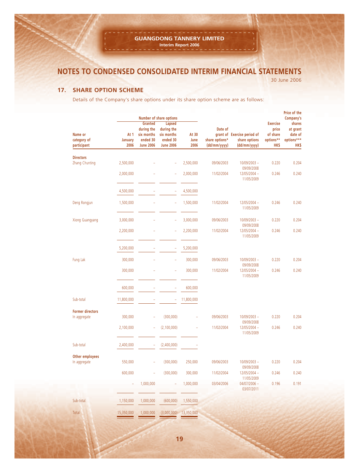30 June 2006

#### **17. SHARE OPTION SCHEME**

Details of the Company's share options under its share option scheme are as follows:

|                                         |                         |                                                                            | <b>Number of share options</b>                                            |                       |                                           |                                                              |                                                           | Price of the<br>Company's                                  |
|-----------------------------------------|-------------------------|----------------------------------------------------------------------------|---------------------------------------------------------------------------|-----------------------|-------------------------------------------|--------------------------------------------------------------|-----------------------------------------------------------|------------------------------------------------------------|
| Name or<br>category of<br>participant   | At 1<br>January<br>2006 | <b>Granted</b><br>during the<br>six months<br>ended 30<br><b>June 2006</b> | <b>Lapsed</b><br>during the<br>six months<br>ended 30<br><b>June 2006</b> | At 30<br>June<br>2006 | Date of<br>share options*<br>(dd/mm/yyyy) | grant of Exercise period of<br>share options<br>(dd/mm/yyyy) | <b>Exercise</b><br>price<br>of share<br>options**<br>HK\$ | shares<br>at grant<br>date of<br>options***<br><b>HK\$</b> |
| <b>Directors</b><br>Zhang Chunting      | 2,500,000               |                                                                            |                                                                           | 2,500,000             | 09/06/2003                                | 10/09/2003 -                                                 | 0.220                                                     | 0.204                                                      |
|                                         | 2,000,000               |                                                                            | ÷,                                                                        | 2,000,000             | 11/02/2004                                | 09/09/2008<br>$12/05/2004 -$<br>11/05/2009                   | 0.246                                                     | 0.240                                                      |
|                                         | 4,500,000               |                                                                            | J.                                                                        | 4,500,000             |                                           |                                                              |                                                           |                                                            |
| Deng Rongjun                            | 1,500,000               |                                                                            | Ξ                                                                         | 1,500,000             | 11/02/2004                                | $12/05/2004 -$<br>11/05/2009                                 | 0.246                                                     | 0.240                                                      |
| <b>Xiong Guangyang</b>                  | 3,000,000               |                                                                            | ÷                                                                         | 3,000,000             | 09/06/2003                                | 10/09/2003 -<br>09/09/2008                                   | 0.220                                                     | 0.204                                                      |
|                                         | 2,200,000               |                                                                            | ÷,                                                                        | 2,200,000             | 11/02/2004                                | $12/05/2004 -$<br>11/05/2009                                 | 0.246                                                     | 0.240                                                      |
|                                         | 5,200,000               |                                                                            | Ξ                                                                         | 5,200,000             |                                           |                                                              |                                                           |                                                            |
| Fung Lak                                | 300,000                 |                                                                            |                                                                           | 300,000               | 09/06/2003                                | 10/09/2003 -<br>09/09/2008                                   | 0.220                                                     | 0.204                                                      |
|                                         | 300,000                 |                                                                            |                                                                           | 300,000               | 11/02/2004                                | $12/05/2004 -$<br>11/05/2009                                 | 0.246                                                     | 0.240                                                      |
|                                         | 600,000                 |                                                                            | ÷                                                                         | 600,000               |                                           |                                                              |                                                           |                                                            |
| Sub-total                               | 11,800,000              |                                                                            | ÷                                                                         | 11,800,000            |                                           |                                                              |                                                           |                                                            |
| <b>Former directors</b><br>In aggregate | 300,000                 | ÷                                                                          | (300,000)                                                                 | ÷                     | 09/06/2003                                | 10/09/2003 -                                                 | 0.220                                                     | 0.204                                                      |
|                                         | 2,100,000               | ÷,                                                                         | (2, 100, 000)                                                             | $\overline{a}$        | 11/02/2004                                | 09/09/2008<br>$12/05/2004 -$<br>11/05/2009                   | 0.246                                                     | 0.240                                                      |
| Sub-total                               | 2,400,000               | ÷                                                                          | (2,400,000)                                                               |                       |                                           |                                                              |                                                           |                                                            |
| Other employees                         |                         |                                                                            |                                                                           |                       |                                           |                                                              |                                                           |                                                            |
| In aggregate                            | 550,000                 |                                                                            | (300,000)                                                                 | 250,000               | 09/06/2003                                | 10/09/2003 -<br>09/09/2008                                   | 0.220                                                     | 0.204                                                      |
|                                         | 600,000                 | ÷,                                                                         | (300,000)                                                                 | 300,000               | 11/02/2004                                | 12/05/2004 -<br>11/05/2009                                   | 0.246                                                     | 0.240                                                      |
|                                         |                         | 1,000,000                                                                  |                                                                           | 1,000,000             | 03/04/2006                                | 04/07/2006 -<br>03/07/2011                                   | 0.196                                                     | 0.191                                                      |
| Sub-total                               | 1,150,000               | 1,000,000                                                                  | (600,000)                                                                 | 1,550,000             |                                           |                                                              |                                                           |                                                            |
| Total                                   | 15,350,000              | 1,000,000                                                                  | $(3,000,000)$ 13,350,000                                                  |                       |                                           |                                                              |                                                           |                                                            |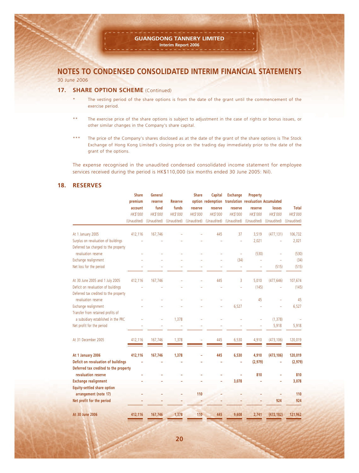30 June 2006

#### **17. SHARE OPTION SCHEME** (Continued)

- The vesting period of the share options is from the date of the grant until the commencement of the exercise period.
- \*\* The exercise price of the share options is subject to adjustment in the case of rights or bonus issues, or other similar changes in the Company's share capital.
- \*\*\* The price of the Company's shares disclosed as at the date of the grant of the share options is The Stock Exchange of Hong Kong Limited's closing price on the trading day immediately prior to the date of the grant of the options.

The expense recognised in the unaudited condensed consolidated income statement for employee services received during the period is HK\$110,000 (six months ended 30 June 2005: Nil).

#### **18. RESERVES**

|                                                                          | <b>Share</b>    | General     |                | <b>Share</b> | Capital                                               | <b>Exchange</b>          | Property        |             |              |
|--------------------------------------------------------------------------|-----------------|-------------|----------------|--------------|-------------------------------------------------------|--------------------------|-----------------|-------------|--------------|
|                                                                          | premium         | reserve     | <b>Reserve</b> |              | option redemption translation revaluation Accumulated |                          |                 |             |              |
|                                                                          | account         | fund        | funds          | reserve      | reserve                                               | reserve                  | reserve         | losses      | <b>Total</b> |
|                                                                          | <b>HK\$'000</b> | HK\$'000    | HK\$'000       | HK\$'000     | HK\$'000                                              | <b>HK\$'000</b>          | <b>HK\$'000</b> | HK\$'000    | HK\$'000     |
|                                                                          | (Unaudited)     | (Unaudited) | (Unaudited)    | (Unaudited)  | (Unaudited)                                           | (Unaudited)              | (Unaudited)     | (Unaudited) | (Unaudited)  |
| At 1 January 2005                                                        | 412,116         | 167,746     |                |              | 445                                                   | 37                       | 3,519           | (477, 131)  | 106,732      |
| Surplus on revaluation of buildings                                      |                 |             |                |              |                                                       |                          | 2,021           |             | 2,021        |
| Deferred tax charged to the property<br>revaluation reserve              |                 |             |                |              |                                                       |                          | (530)           |             | (530)        |
| Exchange realignment                                                     |                 |             |                |              |                                                       |                          |                 |             |              |
|                                                                          |                 |             |                |              |                                                       | (34)                     |                 |             | (34)         |
| Net loss for the period                                                  |                 |             |                |              |                                                       | $\overline{\phantom{0}}$ | $\overline{a}$  | (515)       | (515)        |
| At 30 June 2005 and 1 July 2005                                          | 412,116         | 167,746     |                |              | 445                                                   | 3                        | 5,010           | (477, 646)  | 107,674      |
| Deficit on revaluation of buildings                                      |                 |             |                |              |                                                       |                          | (145)           |             | (145)        |
| Deferred tax credited to the property<br>revaluation reserve             |                 |             |                |              |                                                       |                          | 45              |             | 45           |
|                                                                          |                 |             |                |              |                                                       |                          |                 |             |              |
| Exchange realignment                                                     |                 |             |                |              |                                                       | 6,527                    |                 |             | 6,527        |
| Transfer from retained profits of<br>a subsidiary established in the PRC |                 |             | 1,378          |              |                                                       |                          |                 | (1, 378)    |              |
| Net profit for the period                                                |                 |             |                |              |                                                       |                          |                 | 5,918       | 5,918        |
| At 31 December 2005                                                      | 412,116         | 167,746     | 1,378          |              | 445                                                   | 6,530                    | 4,910           | (473, 106)  | 120,019      |
| At 1 January 2006                                                        | 412,116         | 167,746     | 1,378          |              | 445                                                   | 6,530                    | 4,910           | (473, 106)  | 120,019      |
| Deficit on revaluation of buildings                                      |                 |             |                |              |                                                       |                          | (2, 979)        |             | (2, 979)     |
| Deferred tax credited to the property                                    |                 |             |                |              |                                                       |                          |                 |             |              |
| revaluation reserve                                                      |                 |             |                |              |                                                       |                          | 810             |             | 810          |
| <b>Exchange realignment</b>                                              |                 |             |                |              |                                                       | 3,078                    |                 |             | 3,078        |
| Equity-settled share option                                              |                 |             |                |              |                                                       |                          |                 |             |              |
| arrangement (note 17)                                                    |                 |             |                | 110          |                                                       |                          |                 |             | 110          |
| Net profit for the period                                                |                 |             |                |              |                                                       |                          |                 | 924         | 924          |
|                                                                          |                 |             |                |              |                                                       |                          |                 |             |              |
| At 30 June 2006                                                          | 412,116         | 167,746     | 1,378          | 110          | 445                                                   | 9,608                    | 2,741           | (472, 182)  | 121,962      |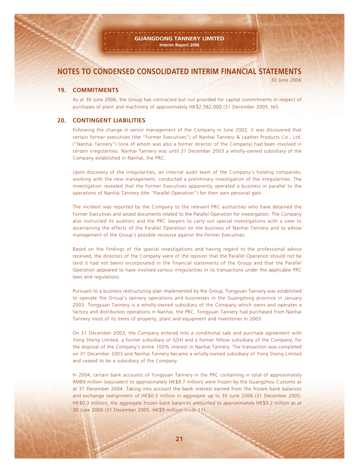30 June 2006

#### **19. COMMITMENTS**

As at 30 June 2006, the Group has contracted but not provided for capital commitments in respect of purchases of plant and machinery of approximately HK\$2,582,000 (31 December 2005: Nil).

#### **20. CONTINGENT LIABILITIES**

Following the change in senior management of the Company in June 2002, it was discovered that certain former executives (the "Former Executives") of Nanhai Tannery & Leather Products Co., Ltd. ("Nanhai Tannery") (one of whom was also a former director of the Company) had been involved in certain irregularities. Nanhai Tannery was until 31 December 2003 a wholly-owned subsidiary of the Company established in Nanhai, the PRC.

Upon discovery of the irregularities, an internal audit team of the Company's holding companies, working with the new management, conducted a preliminary investigation of the irregularities. The investigation revealed that the Former Executives apparently operated a business in parallel to the operations of Nanhai Tannery (the "Parallel Operation") for their own personal gain.

The incident was reported by the Company to the relevant PRC authorities who have detained the Former Executives and seized documents related to the Parallel Operation for investigation. The Company also instructed its auditors and the PRC lawyers to carry out special investigations with a view to ascertaining the effects of the Parallel Operation on the business of Nanhai Tannery and to advise management of the Group's possible recourse against the Former Executives.

Based on the findings of the special investigations and having regard to the professional advice received, the directors of the Company were of the opinion that the Parallel Operation should not be (and it had not been) incorporated in the financial statements of the Group and that the Parallel Operation appeared to have involved various irregularities in its transactions under the applicable PRC laws and regulations.

Pursuant to a business restructuring plan implemented by the Group, Tongyuan Tannery was established to operate the Group's tannery operations and businesses in the Guangdong province in January 2003. Tongyuan Tannery is a wholly-owned subsidiary of the Company which owns and operates a factory and distribution operations in Nanhai, the PRC. Tongyuan Tannery had purchased from Nanhai Tannery most of its items of property, plant and equipment and inventories in 2003.

On 31 December 2003, the Company entered into a conditional sale and purchase agreement with Yong Sheng Limited, a former subsidiary of GDH and a former fellow subsidiary of the Company, for the disposal of the Company's entire 100% interest in Nanhai Tannery. The transaction was completed on 31 December 2003 and Nanhai Tannery became a wholly-owned subsidiary of Yong Sheng Limited and ceased to be a subsidiary of the Company.

In 2004, certain bank accounts of Tongyuan Tannery in the PRC containing in total of approximately RMB9 million (equivalent to approximately HK\$8.7 million) were frozen by the Guangzhou Customs as at 31 December 2004. Taking into account the bank interest earned from the frozen bank balances and exchange realignment of HK\$0.5 million in aggregate up to 30 June 2006 (31 December 2005: HK\$0.3 million), the aggregate frozen bank balances amounted to approximately HK\$9.2 million as at 30 June 2006 (31 December 2005: HK\$9 million) (note 11).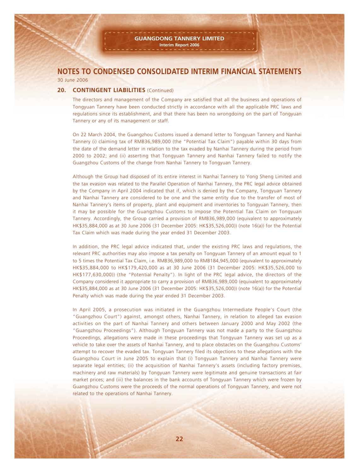#### **20. CONTINGENT LIABILITIES** (Continued)

The directors and management of the Company are satisfied that all the business and operations of Tongyuan Tannery have been conducted strictly in accordance with all the applicable PRC laws and regulations since its establishment, and that there has been no wrongdoing on the part of Tongyuan Tannery or any of its management or staff.

On 22 March 2004, the Guangzhou Customs issued a demand letter to Tongyuan Tannery and Nanhai Tannery (i) claiming tax of RMB36,989,000 (the "Potential Tax Claim") payable within 30 days from the date of the demand letter in relation to the tax evaded by Nanhai Tannery during the period from 2000 to 2002; and (ii) asserting that Tongyuan Tannery and Nanhai Tannery failed to notify the Guangzhou Customs of the change from Nanhai Tannery to Tongyuan Tannery.

Although the Group had disposed of its entire interest in Nanhai Tannery to Yong Sheng Limited and the tax evasion was related to the Parallel Operation of Nanhai Tannery, the PRC legal advice obtained by the Company in April 2004 indicated that if, which is denied by the Company, Tongyuan Tannery and Nanhai Tannery are considered to be one and the same entity due to the transfer of most of Nanhai Tannery's items of property, plant and equipment and inventories to Tongyuan Tannery, then it may be possible for the Guangzhou Customs to impose the Potential Tax Claim on Tongyuan Tannery. Accordingly, the Group carried a provision of RMB36,989,000 (equivalent to approximately HK\$35,884,000 as at 30 June 2006 (31 December 2005: HK\$35,526,000)) (note 16(a)) for the Potential Tax Claim which was made during the year ended 31 December 2003.

In addition, the PRC legal advice indicated that, under the existing PRC laws and regulations, the relevant PRC authorities may also impose a tax penalty on Tongyuan Tannery of an amount equal to 1 to 5 times the Potential Tax Claim, i.e. RMB36,989,000 to RMB184,945,000 (equivalent to approximately HK\$35,884,000 to HK\$179,420,000 as at 30 June 2006 (31 December 2005: HK\$35,526,000 to HK\$177,630,000)) (the "Potential Penalty"). In light of the PRC legal advice, the directors of the Company considered it appropriate to carry a provision of RMB36,989,000 (equivalent to approximately HK\$35,884,000 as at 30 June 2006 (31 December 2005: HK\$35,526,000)) (note 16(a)) for the Potential Penalty which was made during the year ended 31 December 2003.

In April 2005, a prosecution was initiated in the Guangzhou Intermediate People's Court (the "Guangzhou Court") against, amongst others, Nanhai Tannery, in relation to alleged tax evasion activities on the part of Nanhai Tannery and others between January 2000 and May 2002 (the "Guangzhou Proceedings"). Although Tongyuan Tannery was not made a party to the Guangzhou Proceedings, allegations were made in these proceedings that Tongyuan Tannery was set up as a vehicle to take over the assets of Nanhai Tannery, and to place obstacles on the Guangzhou Customs' attempt to recover the evaded tax. Tongyuan Tannery filed its objections to these allegations with the Guangzhou Court in June 2005 to explain that (i) Tongyuan Tannery and Nanhai Tannery were separate legal entities; (ii) the acquisition of Nanhai Tannery's assets (including factory premises, machinery and raw materials) by Tongyuan Tannery were legitimate and genuine transactions at fair market prices; and (iii) the balances in the bank accounts of Tongyuan Tannery which were frozen by Guangzhou Customs were the proceeds of the normal operations of Tongyuan Tannery, and were not related to the operations of Nanhai Tannery.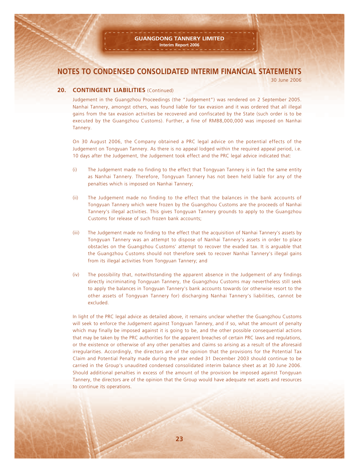30 June 2006

#### **20. CONTINGENT LIABILITIES** (Continued)

Judgement in the Guangzhou Proceedings (the "Judgement") was rendered on 2 September 2005. Nanhai Tannery, amongst others, was found liable for tax evasion and it was ordered that all illegal gains from the tax evasion activities be recovered and confiscated by the State (such order is to be executed by the Guangzhou Customs). Further, a fine of RMB8,000,000 was imposed on Nanhai Tannery.

On 30 August 2006, the Company obtained a PRC legal advice on the potential effects of the Judgement on Tongyuan Tannery. As there is no appeal lodged within the required appeal period, i.e. 10 days after the Judgement, the Judgement took effect and the PRC legal advice indicated that:

- (i) The Judgement made no finding to the effect that Tongyuan Tannery is in fact the same entity as Nanhai Tannery. Therefore, Tongyuan Tannery has not been held liable for any of the penalties which is imposed on Nanhai Tannery;
- (ii) The Judgement made no finding to the effect that the balances in the bank accounts of Tongyuan Tannery which were frozen by the Guangzhou Customs are the proceeds of Nanhai Tannery's illegal activities. This gives Tongyuan Tannery grounds to apply to the Guangzhou Customs for release of such frozen bank accounts;
- (iii) The Judgement made no finding to the effect that the acquisition of Nanhai Tannery's assets by Tongyuan Tannery was an attempt to dispose of Nanhai Tannery's assets in order to place obstacles on the Guangzhou Customs' attempt to recover the evaded tax. It is arguable that the Guangzhou Customs should not therefore seek to recover Nanhai Tannery's illegal gains from its illegal activities from Tongyuan Tannery; and
- (iv) The possibility that, notwithstanding the apparent absence in the Judgement of any findings directly incriminating Tongyuan Tannery, the Guangzhou Customs may nevertheless still seek to apply the balances in Tongyuan Tannery's bank accounts towards (or otherwise resort to the other assets of Tongyuan Tannery for) discharging Nanhai Tannery's liabilities, cannot be excluded.

In light of the PRC legal advice as detailed above, it remains unclear whether the Guangzhou Customs will seek to enforce the Judgement against Tongyuan Tannery, and if so, what the amount of penalty which may finally be imposed against it is going to be, and the other possible consequential actions that may be taken by the PRC authorities for the apparent breaches of certain PRC laws and regulations, or the existence or otherwise of any other penalties and claims so arising as a result of the aforesaid irregularities. Accordingly, the directors are of the opinion that the provisions for the Potential Tax Claim and Potential Penalty made during the year ended 31 December 2003 should continue to be carried in the Group's unaudited condensed consolidated interim balance sheet as at 30 June 2006. Should additional penalties in excess of the amount of the provision be imposed against Tongyuan Tannery, the directors are of the opinion that the Group would have adequate net assets and resources to continue its operations.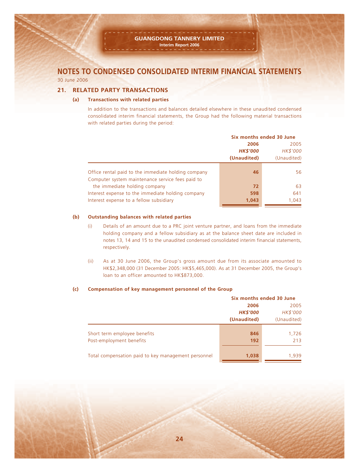#### **21. RELATED PARTY TRANSACTIONS**

#### **(a) Transactions with related parties**

In addition to the transactions and balances detailed elsewhere in these unaudited condensed consolidated interim financial statements, the Group had the following material transactions with related parties during the period:

|                                                     | Six months ended 30 June |             |  |
|-----------------------------------------------------|--------------------------|-------------|--|
|                                                     | 2006                     | 2005        |  |
|                                                     | <b>HK\$'000</b>          | HK\$'000    |  |
|                                                     | (Unaudited)              | (Unaudited) |  |
| Office rental paid to the immediate holding company | 46                       | 56          |  |
| Computer system maintenance service fees paid to    |                          |             |  |
| the immediate holding company                       | 72                       | 63          |  |
| Interest expense to the immediate holding company   | 598                      | 641         |  |
| Interest expense to a fellow subsidiary             | 1,043                    | 1,043       |  |

#### **(b) Outstanding balances with related parties**

- (i) Details of an amount due to a PRC joint venture partner, and loans from the immediate holding company and a fellow subsidiary as at the balance sheet date are included in notes 13, 14 and 15 to the unaudited condensed consolidated interim financial statements, respectively.
- (ii) As at 30 June 2006, the Group's gross amount due from its associate amounted to HK\$2,348,000 (31 December 2005: HK\$5,465,000). As at 31 December 2005, the Group's loan to an officer amounted to HK\$873,000.

#### **(c) Compensation of key management personnel of the Group**

|                                                     | Six months ended 30 June |             |  |  |
|-----------------------------------------------------|--------------------------|-------------|--|--|
|                                                     | 2006                     | 2005        |  |  |
|                                                     | <b>HK\$'000</b>          | HK\$'000    |  |  |
|                                                     | (Unaudited)              | (Unaudited) |  |  |
| Short term employee benefits                        | 846                      | 1,726       |  |  |
| Post-employment benefits                            | 192                      | 213         |  |  |
| Total compensation paid to key management personnel | 1,038                    | 1,939       |  |  |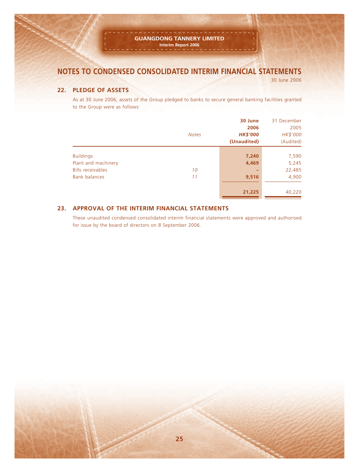#### **GUANGDONG TANNERY LIMITED Interim Report 2006**

# **NOTES TO CONDENSED CONSOLIDATED INTERIM FINANCIAL STATEMENTS**

30 June 2006

#### **22. PLEDGE OF ASSETS**

As at 30 June 2006, assets of the Group pledged to banks to secure general banking facilities granted to the Group were as follows:

|                                                 | <b>Notes</b> | 30 June<br>2006<br><b>HK\$'000</b> | 31 December<br>2005<br>HK\$'000 |
|-------------------------------------------------|--------------|------------------------------------|---------------------------------|
|                                                 |              | (Unaudited)                        | (Audited)                       |
| <b>Buildings</b>                                |              | 7,240                              | 7,590                           |
| Plant and machinery<br><b>Bills receivables</b> | 10           | 4,469                              | 5,245<br>22,485                 |
| Bank balances                                   | 11           | 9,516                              | 4,900                           |
|                                                 |              | 21,225                             | 40,220                          |

#### **23. APPROVAL OF THE INTERIM FINANCIAL STATEMENTS**

These unaudited condensed consolidated interim financial statements were approved and authorised for issue by the board of directors on 8 September 2006.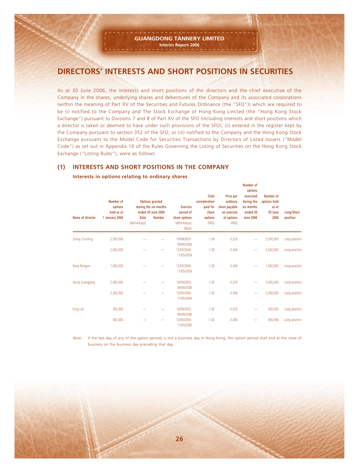# **DIRECTORS' INTERESTS AND SHORT POSITIONS IN SECURITIES**

As at 30 June 2006, the interests and short positions of the directors and the chief executive of the Company in the shares, underlying shares and debentures of the Company and its associated corporations (within the meaning of Part XV of the Securities and Futures Ordinance (the "SFO")) which are required to be (i) notified to the Company and The Stock Exchange of Hong Kong Limited (the "Hong Kong Stock Exchange") pursuant to Divisions 7 and 8 of Part XV of the SFO (including interests and short positions which a director is taken or deemed to have under such provisions of the SFO); (ii) entered in the register kept by the Company pursuant to section 352 of the SFO; or (iii) notified to the Company and the Hong Kong Stock Exchange pursuant to the Model Code for Securities Transactions by Directors of Listed Issuers ("Model Code") as set out in Appendix 10 of the Rules Governing the Listing of Securities on the Hong Kong Stock Exchange ("Listing Rules"), were as follows:

#### **(1) INTERESTS AND SHORT POSITIONS IN THE COMPANY**

|                  | Number of<br>options<br>held as at |                             | <b>Options granted</b><br>during the six months<br>ended 30 June 2006 | <b>Exercise</b><br>period of            | Total<br>consideration<br>paid for<br>share | Price per<br>ordinary<br>share payable<br>on exercise | options<br>exercised<br>during the<br>six months<br>ended 30 | Number of<br>options held<br>as at<br>30 June | Long/Short    |
|------------------|------------------------------------|-----------------------------|-----------------------------------------------------------------------|-----------------------------------------|---------------------------------------------|-------------------------------------------------------|--------------------------------------------------------------|-----------------------------------------------|---------------|
| Name of director | 1 January 2006                     | <b>Date</b><br>(dd/mm/yyyy) | <b>Number</b>                                                         | share options<br>(dd/mm/yyyy)<br>(Note) | options<br>(HK\$)                           | of options<br>(HK\$)                                  | <b>June 2006</b>                                             | 2006                                          | position      |
| Zhang Chunting   | 2,500,000                          |                             |                                                                       | 10/09/2003-<br>09/09/2008               | 1.00                                        | 0.220                                                 | -                                                            | 2,500,000                                     | Long position |
|                  | 2,000,000                          |                             |                                                                       | 12/05/2004-<br>11/05/2009               | 1.00                                        | 0.246                                                 | -                                                            | 2,000,000                                     | Long position |
| Deng Rongjun     | 1,500,000                          |                             |                                                                       | 12/05/2004-<br>11/05/2009               | 1.00                                        | 0.246                                                 | -                                                            | 1,500,000                                     | Long position |
| Xiong Guangyang  | 3,000,000                          |                             |                                                                       | 10/09/2003-<br>09/09/2008               | 1.00                                        | 0.220                                                 | -                                                            | 3,000,000                                     | Long position |
|                  | 2,200,000                          |                             |                                                                       | 12/05/2004-<br>11/05/2009               | 1.00                                        | 0.246                                                 | $\overline{\phantom{0}}$                                     | 2,200,000                                     | Long position |
| Fung Lak         | 300,000                            |                             |                                                                       | 10/09/2003-<br>09/09/2008               | 1.00                                        | 0.220                                                 |                                                              | 300,000                                       | Long position |
|                  | 300,000                            |                             |                                                                       | 12/05/2004-<br>11/05/2009               | 1.00                                        | 0.246                                                 |                                                              | 300.000                                       | Long position |

**Number of**

#### **Interests in options relating to ordinary shares**

*Note:* If the last day of any of the option periods is not a business day in Hong Kong, the option period shall end at the close of business on the business day preceding that day.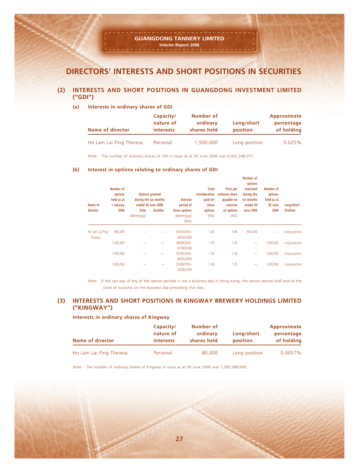#### **GUANGDONG TANNERY LIMITED Interim Report 2006**

# **DIRECTORS' INTERESTS AND SHORT POSITIONS IN SECURITIES**

#### **(2) INTERESTS AND SHORT POSITIONS IN GUANGDONG INVESTMENT LIMITED ("GDI")**

**(a) Interests in ordinary shares of GDI**

| <b>Name of director</b> | Capacity/<br>nature of<br><i>interests</i> |           | Long/short<br>position | Approximate<br>percentage<br>of holding |
|-------------------------|--------------------------------------------|-----------|------------------------|-----------------------------------------|
| Ho Lam Lai Ping Theresa | Personal                                   | 1,500,000 | Long position          | 0.025%                                  |

*Note:* The number of ordinary shares of GDI in issue as at 30 June 2006 was 6,022,248,071.

#### **(b) Interest in options relating to ordinary shares of GDI**

| Name of<br>director        | Number of<br>options<br>held as at<br>1 January<br>2006 | <b>Options granted</b><br>during the six months<br>ended 30 June 2006 |               | <b>Exercise</b><br>period of            | <b>Total</b><br>consideration<br>paid for<br>share | Price per<br>ordinary share<br>payable on<br>exercise | Number of<br>options<br>exercised<br>during the<br>six months<br>ended 30 | Number of<br>options<br>held as at<br>30 June | Long/Short      |
|----------------------------|---------------------------------------------------------|-----------------------------------------------------------------------|---------------|-----------------------------------------|----------------------------------------------------|-------------------------------------------------------|---------------------------------------------------------------------------|-----------------------------------------------|-----------------|
|                            |                                                         | Date<br>(dd/mm/yyyy)                                                  | <b>Number</b> | share options<br>(dd/mm/yyyy)<br>(Note) | options<br>(HK\$)                                  | of options<br>(HK\$)                                  | <b>June 2006</b>                                                          | 2006                                          | <b>Position</b> |
| Ho Lam Lai Ping<br>Theresa | 900,000                                                 |                                                                       |               | 05/03/2003-<br>04/03/2008               | 1.00                                               | 0.96                                                  | 900,000                                                                   |                                               | Long position   |
|                            | 1,500,000                                               |                                                                       |               | 08/08/2003-<br>07/08/2008               | 1.00                                               | 1.22                                                  | $\overline{\phantom{a}}$                                                  | 1,500,000                                     | Long position   |
|                            | 1,500,000                                               |                                                                       |               | 07/05/2004-<br>06/05/2009               | 1.00                                               | 1.59                                                  | $\overline{\phantom{a}}$                                                  | 1,500,000                                     | Long position   |
|                            | 1,000,000                                               |                                                                       |               | 25/08/2004-<br>24/08/2009               | 1.00                                               | 1.25                                                  | -                                                                         | 1.000.000                                     | Long position   |

*Note:* If the last day of any of the option periods is not a business day in Hong Kong, the option period shall end at the close of business on the business day preceding that day.

#### **(3) INTERESTS AND SHORT POSITIONS IN KINGWAY BREWERY HOLDINGS LIMITED ("KINGWAY")**

#### **Interests in ordinary shares of Kingway**

| <b>Name of director</b> | Capacity/<br>nature of<br><i>interests</i> | Number of<br>ordinary<br>shares held | Long/short<br>position | Approximate<br>percentage<br>of holding |
|-------------------------|--------------------------------------------|--------------------------------------|------------------------|-----------------------------------------|
| Ho Lam Lai Ping Theresa | Personal                                   | 80.000                               | Long position          | $0.0057\%$                              |

*Note:* The number of ordinary shares of Kingway in issue as at 30 June 2006 was 1,395,568,000.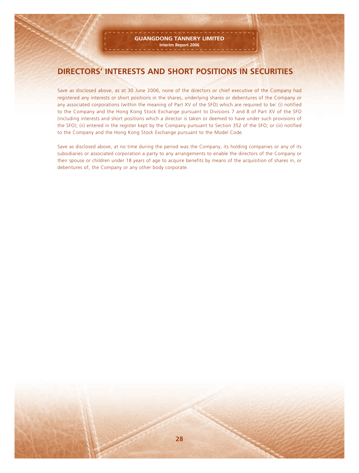# **DIRECTORS' INTERESTS AND SHORT POSITIONS IN SECURITIES**

Save as disclosed above, as at 30 June 2006, none of the directors or chief executive of the Company had registered any interests or short positions in the shares, underlying shares or debentures of the Company or any associated corporations (within the meaning of Part XV of the SFO) which are required to be: (i) notified to the Company and the Hong Kong Stock Exchange pursuant to Divisions 7 and 8 of Part XV of the SFO (including interests and short positions which a director is taken or deemed to have under such provisions of the SFO); (ii) entered in the register kept by the Company pursuant to Section 352 of the SFO; or (iii) notified to the Company and the Hong Kong Stock Exchange pursuant to the Model Code.

Save as disclosed above, at no time during the period was the Company, its holding companies or any of its subsidiaries or associated corporation a party to any arrangements to enable the directors of the Company or their spouse or children under 18 years of age to acquire benefits by means of the acquisition of shares in, or debentures of, the Company or any other body corporate.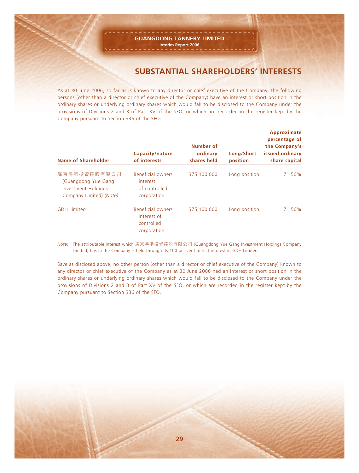# **SUBSTANTIAL SHAREHOLDERS' INTERESTS**

As at 30 June 2006, so far as is known to any director or chief executive of the Company, the following persons (other than a director or chief executive of the Company) have an interest or short position in the ordinary shares or underlying ordinary shares which would fall to be disclosed to the Company under the provisions of Divisions 2 and 3 of Part XV of the SFO, or which are recorded in the register kept by the Company pursuant to Section 336 of the SFO:

| Name of Shareholder                                                                   | <b>Capacity/nature</b><br>of interests                        | Number of<br>ordinary<br>shares held | Long/Short<br>position | Approximate<br>percentage of<br>the Company's<br>issued ordinary<br>share capital |
|---------------------------------------------------------------------------------------|---------------------------------------------------------------|--------------------------------------|------------------------|-----------------------------------------------------------------------------------|
| 廣東粵港投資控股有限公司<br>(Guangdong Yue Gang<br>Investment Holdings<br>Company Limited) (Note) | Beneficial owner/<br>interest<br>of controlled<br>corporation | 375,100,000                          | Long position          | 71.56%                                                                            |
| <b>GDH Limited</b>                                                                    | Beneficial owner/<br>interest of<br>controlled<br>corporation | 375,100,000                          | Long position          | 71.56%                                                                            |

*Note:* The attributable interest which 廣東粵港投資控股有限公司 (Guangdong Yue Gang Investment Holdings Company Limited) has in the Company is held through its 100 per cent. direct interest in GDH Limited.

Save as disclosed above, no other person (other than a director or chief executive of the Company) known to any director or chief executive of the Company as at 30 June 2006 had an interest or short position in the ordinary shares or underlying ordinary shares which would fall to be disclosed to the Company under the provisions of Divisions 2 and 3 of Part XV of the SFO, or which are recorded in the register kept by the Company pursuant to Section 336 of the SFO.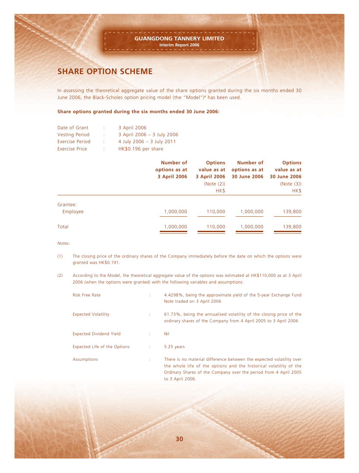# **SHARE OPTION SCHEME**

In assessing the theoretical aggregate value of the share options granted during the six months ended 30 June 2006, the Black-Scholes option pricing model (the "Model") # has been used.

#### **Share options granted during the six months ended 30 June 2006:**

| 3 April 2006               |
|----------------------------|
| 3 April 2006 - 3 July 2006 |
| 4 July 2006 - 3 July 2011  |
| HK\$0.196 per share        |
|                            |

|                      | <b>Number of</b><br>options as at<br>3 April 2006 | <b>Options</b><br>value as at<br>3 April 2006<br>(Note (2))<br>HK\$ | Number of<br>options as at<br>30 June 2006 | <b>Options</b><br>value as at<br>30 June 2006<br>(Note (3))<br>HK\$ |
|----------------------|---------------------------------------------------|---------------------------------------------------------------------|--------------------------------------------|---------------------------------------------------------------------|
| Grantee:<br>Employee | 1,000,000                                         | 110,000                                                             | 1,000,000                                  | 139,800                                                             |
| Total                | 1,000,000                                         | 110,000                                                             | 1,000,000                                  | 139,800                                                             |

*Notes:*

- (1) The closing price of the ordinary shares of the Company immediately before the date on which the options were granted was HK\$0.191.
- (2) According to the Model, the theoretical aggregate value of the options was estimated at HK\$110,000 as at 3 April 2006 (when the options were granted) with the following variables and assumptions:

| <b>Risk Free Rate</b>          |      | 4.4298%, being the approximate yield of the 5-year Exchange Fund<br>Note traded on 3 April 2006                                                                                                                                    |
|--------------------------------|------|------------------------------------------------------------------------------------------------------------------------------------------------------------------------------------------------------------------------------------|
| <b>Expected Volatility</b>     |      | 61.73%, being the annualised volatility of the closing price of the<br>ordinary shares of the Company from 4 April 2005 to 3 April 2006                                                                                            |
| <b>Expected Dividend Yield</b> |      | Nil                                                                                                                                                                                                                                |
| Expected Life of the Options   | - 11 | 5.25 years                                                                                                                                                                                                                         |
| Assumptions                    |      | There is no material difference between the expected volatility over<br>the whole life of the options and the historical volatility of the<br>Ordinary Shares of the Company over the period from 4 April 2005<br>to 3 April 2006. |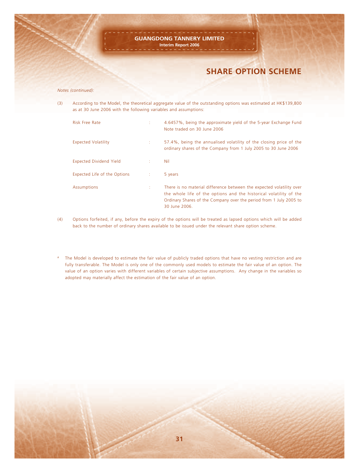# **SHARE OPTION SCHEME**

#### *Notes (continued):*

(3) According to the Model, the theoretical aggregate value of the outstanding options was estimated at HK\$139,800 as at 30 June 2006 with the following variables and assumptions:

| <b>Risk Free Rate</b>          |            | 4.6457%, being the approximate yield of the 5-year Exchange Fund<br>Note traded on 30 June 2006                                                                                                                                   |
|--------------------------------|------------|-----------------------------------------------------------------------------------------------------------------------------------------------------------------------------------------------------------------------------------|
| <b>Expected Volatility</b>     |            | 57.4%, being the annualised volatility of the closing price of the<br>ordinary shares of the Company from 1 July 2005 to 30 June 2006                                                                                             |
| <b>Expected Dividend Yield</b> | ÷.         | <b>Nil</b>                                                                                                                                                                                                                        |
| Expected Life of the Options   | $\sim 100$ | 5 years                                                                                                                                                                                                                           |
| Assumptions                    |            | There is no material difference between the expected volatility over<br>the whole life of the options and the historical volatility of the<br>Ordinary Shares of the Company over the period from 1 July 2005 to<br>30 June 2006. |

- (4) Options forfeited, if any, before the expiry of the options will be treated as lapsed options which will be added back to the number of ordinary shares available to be issued under the relevant share option scheme.
- # The Model is developed to estimate the fair value of publicly traded options that have no vesting restriction and are fully transferable. The Model is only one of the commonly used models to estimate the fair value of an option. The value of an option varies with different variables of certain subjective assumptions. Any change in the variables so adopted may materially affect the estimation of the fair value of an option.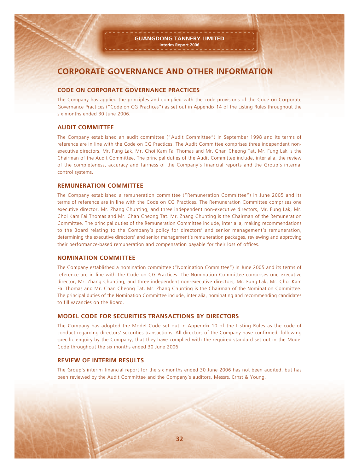# **CORPORATE GOVERNANCE AND OTHER INFORMATION**

#### **CODE ON CORPORATE GOVERNANCE PRACTICES**

The Company has applied the principles and complied with the code provisions of the Code on Corporate Governance Practices ("Code on CG Practices") as set out in Appendix 14 of the Listing Rules throughout the six months ended 30 June 2006.

#### **AUDIT COMMITTEE**

The Company established an audit committee ("Audit Committee") in September 1998 and its terms of reference are in line with the Code on CG Practices. The Audit Committee comprises three independent nonexecutive directors, Mr. Fung Lak, Mr. Choi Kam Fai Thomas and Mr. Chan Cheong Tat. Mr. Fung Lak is the Chairman of the Audit Committee. The principal duties of the Audit Committee include, inter alia, the review of the completeness, accuracy and fairness of the Company's financial reports and the Group's internal control systems.

#### **REMUNERATION COMMITTEE**

The Company established a remuneration committee ("Remuneration Committee") in June 2005 and its terms of reference are in line with the Code on CG Practices. The Remuneration Committee comprises one executive director, Mr. Zhang Chunting, and three independent non-executive directors, Mr. Fung Lak, Mr. Choi Kam Fai Thomas and Mr. Chan Cheong Tat. Mr. Zhang Chunting is the Chairman of the Remuneration Committee. The principal duties of the Remuneration Committee include, inter alia, making recommendations to the Board relating to the Company's policy for directors' and senior management's remuneration, determining the executive directors' and senior management's remuneration packages, reviewing and approving their performance-based remuneration and compensation payable for their loss of offices.

#### **NOMINATION COMMITTEE**

The Company established a nomination committee ("Nomination Committee") in June 2005 and its terms of reference are in line with the Code on CG Practices. The Nomination Committee comprises one executive director, Mr. Zhang Chunting, and three independent non-executive directors, Mr. Fung Lak, Mr. Choi Kam Fai Thomas and Mr. Chan Cheong Tat. Mr. Zhang Chunting is the Chairman of the Nomination Committee. The principal duties of the Nomination Committee include, inter alia, nominating and recommending candidates to fill vacancies on the Board.

#### **MODEL CODE FOR SECURITIES TRANSACTIONS BY DIRECTORS**

The Company has adopted the Model Code set out in Appendix 10 of the Listing Rules as the code of conduct regarding directors' securities transactions. All directors of the Company have confirmed, following specific enquiry by the Company, that they have complied with the required standard set out in the Model Code throughout the six months ended 30 June 2006.

#### **REVIEW OF INTERIM RESULTS**

The Group's interim financial report for the six months ended 30 June 2006 has not been audited, but has been reviewed by the Audit Committee and the Company's auditors, Messrs. Ernst & Young.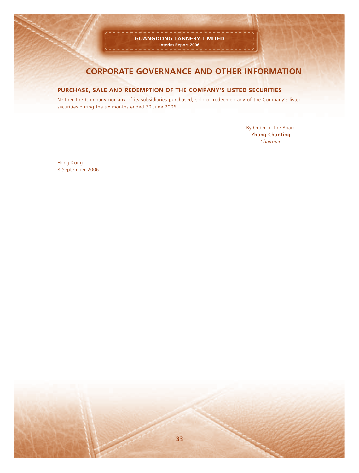#### **GUANGDONG TANNERY LIMITED Interim Report 2006**

# **CORPORATE GOVERNANCE AND OTHER INFORMATION**

#### **PURCHASE, SALE AND REDEMPTION OF THE COMPANY'S LISTED SECURITIES**

Neither the Company nor any of its subsidiaries purchased, sold or redeemed any of the Company's listed securities during the six months ended 30 June 2006.

> By Order of the Board **Zhang Chunting** *Chairman*

Hong Kong 8 September 2006